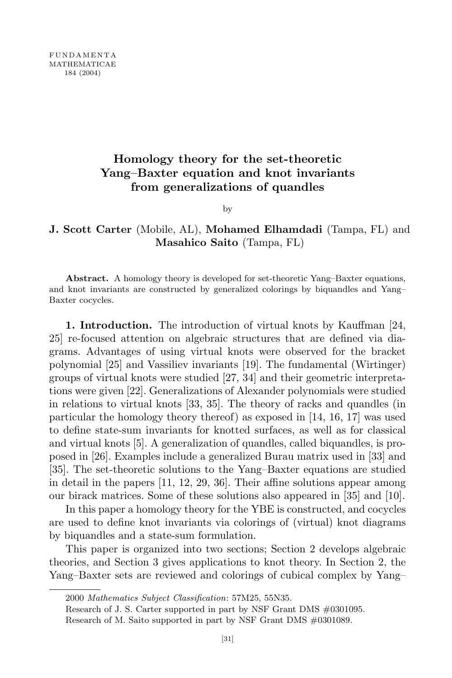FUNDAMENTA MATHEMATICAE 184 (2004)

# **Homology theory for the set-theoretic Yang–Baxter equation and knot invariants from generalizations of quandles**

by

## **J. Scott Carter** (Mobile, AL), **Mohamed Elhamdadi** (Tampa, FL) and **Masahico Saito** (Tampa, FL)

**Abstract.** A homology theory is developed for set-theoretic Yang–Baxter equations, and knot invariants are constructed by generalized colorings by biquandles and Yang– Baxter cocycles.

**1. Introduction.** The introduction of virtual knots by Kauffman [24, 25] re-focused attention on algebraic structures that are defined via diagrams. Advantages of using virtual knots were observed for the bracket polynomial [25] and Vassiliev invariants [19]. The fundamental (Wirtinger) groups of virtual knots were studied [27, 34] and their geometric interpretations were given [22]. Generalizations of Alexander polynomials were studied in relations to virtual knots [33, 35]. The theory of racks and quandles (in particular the homology theory thereof) as exposed in [14, 16, 17] was used to define state-sum invariants for knotted surfaces, as well as for classical and virtual knots [5]. A generalization of quandles, called biquandles, is proposed in [26]. Examples include a generalized Burau matrix used in [33] and [35]. The set-theoretic solutions to the Yang–Baxter equations are studied in detail in the papers [11, 12, 29, 36]. Their affine solutions appear among our birack matrices. Some of these solutions also appeared in [35] and [10].

In this paper a homology theory for the YBE is constructed, and cocycles are used to define knot invariants via colorings of (virtual) knot diagrams by biquandles and a state-sum formulation.

This paper is organized into two sections; Section 2 develops algebraic theories, and Section 3 gives applications to knot theory. In Section 2, the Yang–Baxter sets are reviewed and colorings of cubical complex by Yang–

<sup>2000</sup> *Mathematics Subject Classification*: 57M25, 55N35.

Research of J. S. Carter supported in part by NSF Grant DMS #0301095.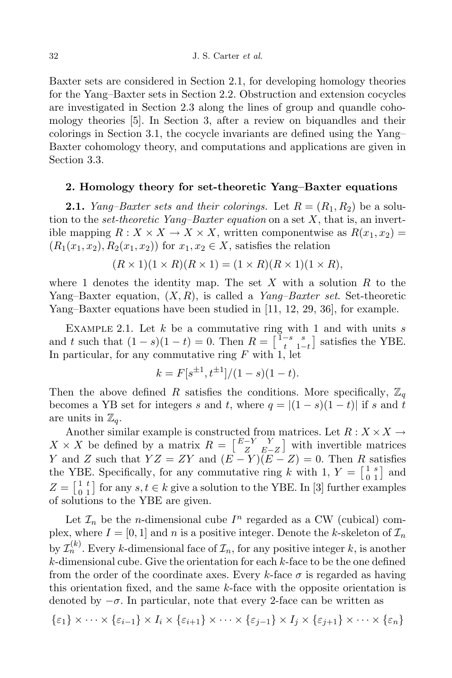Baxter sets are considered in Section 2.1, for developing homology theories for the Yang–Baxter sets in Section 2.2. Obstruction and extension cocycles are investigated in Section 2.3 along the lines of group and quandle cohomology theories [5]. In Section 3, after a review on biquandles and their colorings in Section 3.1, the cocycle invariants are defined using the Yang– Baxter cohomology theory, and computations and applications are given in Section 3.3.

## **2. Homology theory for set-theoretic Yang–Baxter equations**

**2.1.** *Yang–Baxter sets and their colorings.* Let  $R = (R_1, R_2)$  be a solution to the *set-theoretic Yang–Baxter equation* on a set *X*, that is, an invertible mapping  $R: X \times X \to X \times X$ , written componentwise as  $R(x_1, x_2)$  $(R_1(x_1, x_2), R_2(x_1, x_2))$  for  $x_1, x_2 \in X$ , satisfies the relation

$$
(R \times 1)(1 \times R)(R \times 1) = (1 \times R)(R \times 1)(1 \times R),
$$

where 1 denotes the identity map. The set *X* with a solution *R* to the Yang–Baxter equation, (*X, R*), is called a *Yang–Baxter set*. Set-theoretic Yang–Baxter equations have been studied in [11, 12, 29, 36], for example.

Example 2.1. Let *k* be a commutative ring with 1 and with units *s* and *t* such that  $(1 - s)(1 - t) = 0$ . Then  $R = \begin{bmatrix} 1 - s & s \\ t & 1 - t \end{bmatrix}$  $t_{1-1}$ <sup>1</sup> satisfies the YBE. In particular, for any commutative ring *F* with 1, let

$$
k = F[s^{\pm 1}, t^{\pm 1}]/(1 - s)(1 - t).
$$

Then the above defined *R* satisfies the conditions. More specifically,  $\mathbb{Z}_q$ becomes a YB set for integers *s* and *t*, where  $q = |(1 - s)(1 - t)|$  if *s* and *t* are units in  $\mathbb{Z}_q$ .

Another similar example is constructed from matrices. Let  $R: X \times X \rightarrow$  $X \times X$  be defined by a matrix  $R = \begin{bmatrix} E-Y & Y \\ Z & E-T \end{bmatrix}$ *Z E−Z* with invertible matrices *Y* and *Z* such that  $YZ = ZY$  and  $(E - Y)(E - Z) = 0$ . Then *R* satisfies the YBE. Specifically, for any commutative ring *k* with 1,  $Y = \begin{bmatrix} 1 & s \\ 0 & 1 \end{bmatrix}$  $\begin{bmatrix} 1 & s \\ 0 & 1 \end{bmatrix}$  and  $Z = \begin{bmatrix} 1 & t \\ 0 & 1 \end{bmatrix}$  $\begin{bmatrix} 1 & t \\ 0 & 1 \end{bmatrix}$  for any  $s, t \in k$  give a solution to the YBE. In [3] further examples of solutions to the YBE are given.

Let  $\mathcal{I}_n$  be the *n*-dimensional cube  $I^n$  regarded as a CW (cubical) complex, where  $I = [0, 1]$  and *n* is a positive integer. Denote the *k*-skeleton of  $\mathcal{I}_n$ by  $\mathcal{I}_n^{(k)}$ . Every *k*-dimensional face of  $\mathcal{I}_n$ , for any positive integer *k*, is another *k*-dimensional cube. Give the orientation for each *k*-face to be the one defined from the order of the coordinate axes. Every  $k$ -face  $\sigma$  is regarded as having this orientation fixed, and the same *k*-face with the opposite orientation is denoted by *−σ*. In particular, note that every 2-face can be written as

$$
\{\varepsilon_1\} \times \cdots \times \{\varepsilon_{i-1}\} \times I_i \times \{\varepsilon_{i+1}\} \times \cdots \times \{\varepsilon_{j-1}\} \times I_j \times \{\varepsilon_{j+1}\} \times \cdots \times \{\varepsilon_n\}
$$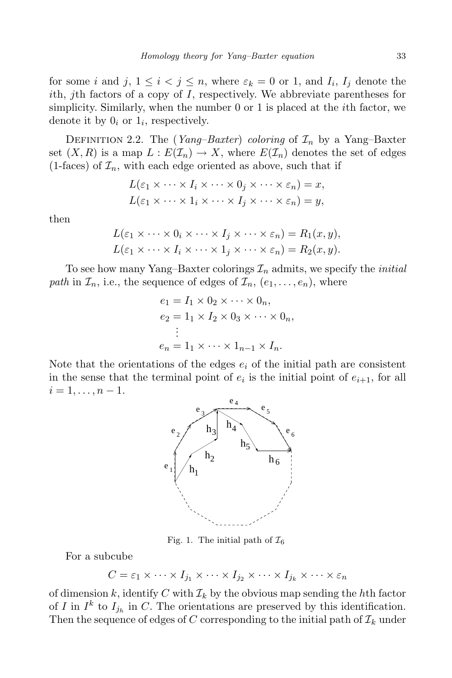for some *i* and  $j, 1 \le i < j \le n$ , where  $\varepsilon_k = 0$  or 1, and  $I_i, I_j$  denote the *i*th, *j*th factors of a copy of *I*, respectively. We abbreviate parentheses for simplicity. Similarly, when the number 0 or 1 is placed at the *i*th factor, we denote it by  $0_i$  or  $1_i$ , respectively.

DEFINITION 2.2. The (*Yang–Baxter*) *coloring* of  $\mathcal{I}_n$  by a Yang–Baxter set  $(X, R)$  is a map  $L: E(\mathcal{I}_n) \to X$ , where  $E(\mathcal{I}_n)$  denotes the set of edges  $(1-faces)$  of  $\mathcal{I}_n$ , with each edge oriented as above, such that if

$$
L(\varepsilon_1 \times \cdots \times I_i \times \cdots \times 0_j \times \cdots \times \varepsilon_n) = x,
$$
  

$$
L(\varepsilon_1 \times \cdots \times 1_i \times \cdots \times I_j \times \cdots \times \varepsilon_n) = y,
$$

then

$$
L(\varepsilon_1 \times \cdots \times 0_i \times \cdots \times I_j \times \cdots \times \varepsilon_n) = R_1(x, y),
$$
  

$$
L(\varepsilon_1 \times \cdots \times I_i \times \cdots \times 1_j \times \cdots \times \varepsilon_n) = R_2(x, y).
$$

To see how many Yang–Baxter colorings *I<sup>n</sup>* admits, we specify the *initial path* in  $\mathcal{I}_n$ , i.e., the sequence of edges of  $\mathcal{I}_n$ ,  $(e_1, \ldots, e_n)$ , where

$$
e_1 = I_1 \times 0_2 \times \cdots \times 0_n,
$$
  
\n
$$
e_2 = 1_1 \times I_2 \times 0_3 \times \cdots \times 0_n,
$$
  
\n
$$
\vdots
$$
  
\n
$$
e_n = 1_1 \times \cdots \times 1_{n-1} \times I_n.
$$

Note that the orientations of the edges  $e_i$  of the initial path are consistent in the sense that the terminal point of  $e_i$  is the initial point of  $e_{i+1}$ , for all  $i = 1, \ldots, n - 1.$ 



Fig. 1. The initial path of  $\mathcal{I}_6$ 

For a subcube

 $C = \varepsilon_1 \times \cdots \times I_{j_1} \times \cdots \times I_{j_2} \times \cdots \times I_{j_k} \times \cdots \times \varepsilon_n$ 

of dimension  $k$ , identify  $C$  with  $\mathcal{I}_k$  by the obvious map sending the  $h$ th factor of *I* in  $I^k$  to  $I_{j_h}$  in *C*. The orientations are preserved by this identification. Then the sequence of edges of  $C$  corresponding to the initial path of  $\mathcal{I}_k$  under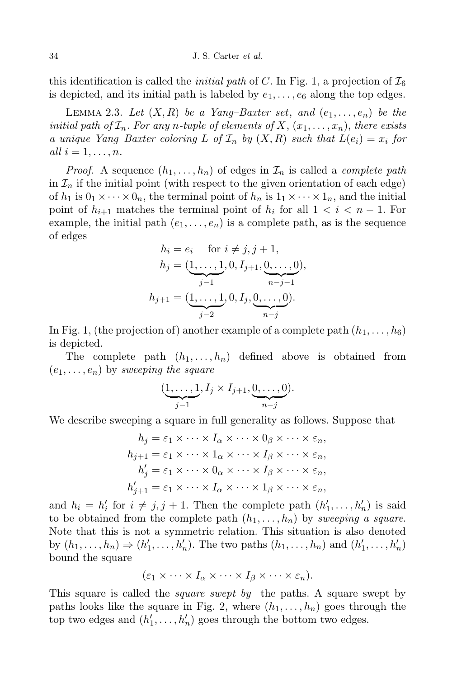this identification is called the *initial path* of C. In Fig. 1, a projection of  $\mathcal{I}_6$ is depicted, and its initial path is labeled by  $e_1, \ldots, e_6$  along the top edges.

LEMMA 2.3. Let  $(X, R)$  be a Yang–Baxter set, and  $(e_1, \ldots, e_n)$  be the initial path of  $\mathcal{I}_n$ . For any n-tuple of elements of X,  $(x_1, \ldots, x_n)$ , there exists *a unique Yang–Baxter coloring*  $L$  *of*  $\mathcal{I}_n$  *by*  $(X, R)$  *such that*  $L(e_i) = x_i$  *for*  $all \, i = 1, \ldots, n.$ 

*Proof.* A sequence  $(h_1, \ldots, h_n)$  of edges in  $\mathcal{I}_n$  is called a *complete* path in  $\mathcal{I}_n$  if the initial point (with respect to the given orientation of each edge) of  $h_1$  is  $0_1 \times \cdots \times 0_n$ , the terminal point of  $h_n$  is  $1_1 \times \cdots \times 1_n$ , and the initial point of  $h_{i+1}$  matches the terminal point of  $h_i$  for all  $1 < i < n-1$ . For example, the initial path  $(e_1, \ldots, e_n)$  is a complete path, as is the sequence of edges

$$
h_i = e_i \quad \text{for } i \neq j, j+1,
$$
  
\n
$$
h_j = (\underbrace{1, \dots, 1}_{j-1}, 0, I_{j+1}, \underbrace{0, \dots, 0}_{n-j-1}),
$$
  
\n
$$
h_{j+1} = (\underbrace{1, \dots, 1}_{j-2}, 0, I_j, \underbrace{0, \dots, 0}_{n-j}).
$$

In Fig. 1, (the projection of) another example of a complete path  $(h_1, \ldots, h_6)$ is depicted.

The complete path  $(h_1, \ldots, h_n)$  defined above is obtained from  $(e_1, \ldots, e_n)$  by *sweeping the square* 

$$
(\underbrace{1,\ldots,1}_{j-1}, I_j \times I_{j+1}, \underbrace{0,\ldots,0}_{n-j}).
$$

We describe sweeping a square in full generality as follows. Suppose that

$$
h_j = \varepsilon_1 \times \cdots \times I_\alpha \times \cdots \times 0_\beta \times \cdots \times \varepsilon_n,
$$
  
\n
$$
h_{j+1} = \varepsilon_1 \times \cdots \times 1_\alpha \times \cdots \times I_\beta \times \cdots \times \varepsilon_n,
$$
  
\n
$$
h'_j = \varepsilon_1 \times \cdots \times 0_\alpha \times \cdots \times I_\beta \times \cdots \times \varepsilon_n,
$$
  
\n
$$
h'_{j+1} = \varepsilon_1 \times \cdots \times I_\alpha \times \cdots \times 1_\beta \times \cdots \times \varepsilon_n,
$$

and  $h_i = h'_i$  for  $i \neq j, j + 1$ . Then the complete path  $(h'_1, \ldots, h'_n)$  is said to be obtained from the complete path  $(h_1, \ldots, h_n)$  by *sweeping* a *square*. Note that this is not a symmetric relation. This situation is also denoted by  $(h_1, \ldots, h_n) \Rightarrow (h'_1, \ldots, h'_n)$ . The two paths  $(h_1, \ldots, h_n)$  and  $(h'_1, \ldots, h'_n)$ bound the square

$$
(\varepsilon_1 \times \cdots \times I_\alpha \times \cdots \times I_\beta \times \cdots \times \varepsilon_n).
$$

This square is called the *square swept by* the paths. A square swept by paths looks like the square in Fig. 2, where  $(h_1, \ldots, h_n)$  goes through the top two edges and  $(h'_1, \ldots, h'_n)$  goes through the bottom two edges.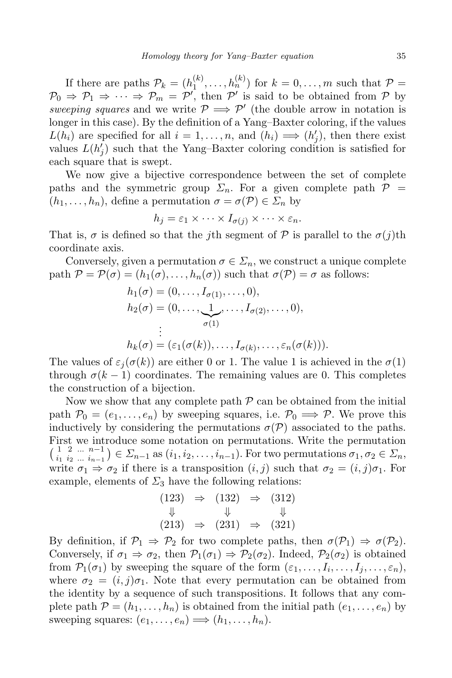If there are paths  $\mathcal{P}_k = (h_1^{(k)}$  $\binom{k}{1}, \ldots, \binom{h^{(k)}}{n}$  for  $k = 0, \ldots, m$  such that  $P =$  $\mathcal{P}_0 \Rightarrow \mathcal{P}_1 \Rightarrow \cdots \Rightarrow \mathcal{P}_m = \mathcal{P}'$ , then  $\mathcal{P}'$  is said to be obtained from  $\mathcal{P}$  by *sweeping squares* and we write  $P \implies P'$  (the double arrow in notation is longer in this case). By the definition of a Yang–Baxter coloring, if the values  $L(h_i)$  are specified for all  $i = 1, \ldots, n$ , and  $(h_i) \implies (h'_j)$ , then there exist values  $L(h'_j)$  such that the Yang–Baxter coloring condition is satisfied for each square that is swept.

We now give a bijective correspondence between the set of complete paths and the symmetric group  $\Sigma_n$ . For a given complete path  $\mathcal{P}$  =  $(h_1, \ldots, h_n)$ , define a permutation  $\sigma = \sigma(\mathcal{P}) \in \mathcal{Z}_n$  by

$$
h_j = \varepsilon_1 \times \cdots \times I_{\sigma(j)} \times \cdots \times \varepsilon_n.
$$

That is,  $\sigma$  is defined so that the *j*th segment of  $\mathcal P$  is parallel to the  $\sigma(j)$ th coordinate axis.

Conversely, given a permutation  $\sigma \in \Sigma_n$ , we construct a unique complete path  $P = P(\sigma) = (h_1(\sigma), \ldots, h_n(\sigma))$  such that  $\sigma(P) = \sigma$  as follows:

$$
h_1(\sigma) = (0, \dots, I_{\sigma(1)}, \dots, 0),
$$
  
\n
$$
h_2(\sigma) = (0, \dots, \underbrace{1}_{\sigma(1)}, \dots, I_{\sigma(2)}, \dots, 0),
$$
  
\n
$$
\vdots
$$
  
\n
$$
h_k(\sigma) = (\varepsilon_1(\sigma(k)), \dots, I_{\sigma(k)}, \dots, \varepsilon_n(\sigma(k))).
$$

The values of  $\varepsilon_i(\sigma(k))$  are either 0 or 1. The value 1 is achieved in the  $\sigma(1)$ through  $\sigma(k-1)$  coordinates. The remaining values are 0. This completes the construction of a bijection.

Now we show that any complete path  $P$  can be obtained from the initial path  $\mathcal{P}_0 = (e_1, \ldots, e_n)$  by sweeping squares, i.e.  $\mathcal{P}_0 \implies \mathcal{P}$ . We prove this inductively by considering the permutations  $\sigma(\mathcal{P})$  associated to the paths. First we introduce some notation on permutations. Write the permutation  $\begin{pmatrix} 1 & 2 & \dots & n-1 \\ i_1 & i_2 & \dots & i_{n-1} \end{pmatrix} \in \Sigma_{n-1}$  as  $(i_1, i_2, \dots, i_{n-1})$ . For two permutations  $\sigma_1, \sigma_2 \in \Sigma_n$ , write  $\sigma_1 \Rightarrow \sigma_2$  if there is a transposition  $(i, j)$  such that  $\sigma_2 = (i, j)\sigma_1$ . For example, elements of  $\Sigma_3$  have the following relations:

$$
(123) \Rightarrow (132) \Rightarrow (312)
$$
  
\n
$$
\downarrow \qquad \downarrow \qquad \downarrow
$$
  
\n
$$
(213) \Rightarrow (231) \Rightarrow (321)
$$

By definition, if  $\mathcal{P}_1 \Rightarrow \mathcal{P}_2$  for two complete paths, then  $\sigma(\mathcal{P}_1) \Rightarrow \sigma(\mathcal{P}_2)$ . Conversely, if  $\sigma_1 \Rightarrow \sigma_2$ , then  $\mathcal{P}_1(\sigma_1) \Rightarrow \mathcal{P}_2(\sigma_2)$ . Indeed,  $\mathcal{P}_2(\sigma_2)$  is obtained from  $\mathcal{P}_1(\sigma_1)$  by sweeping the square of the form  $(\varepsilon_1,\ldots,I_i,\ldots,I_j,\ldots,\varepsilon_n)$ , where  $\sigma_2 = (i, j)\sigma_1$ . Note that every permutation can be obtained from the identity by a sequence of such transpositions. It follows that any complete path  $P = (h_1, \ldots, h_n)$  is obtained from the initial path  $(e_1, \ldots, e_n)$  by sweeping squares:  $(e_1, \ldots, e_n) \Longrightarrow (h_1, \ldots, h_n)$ .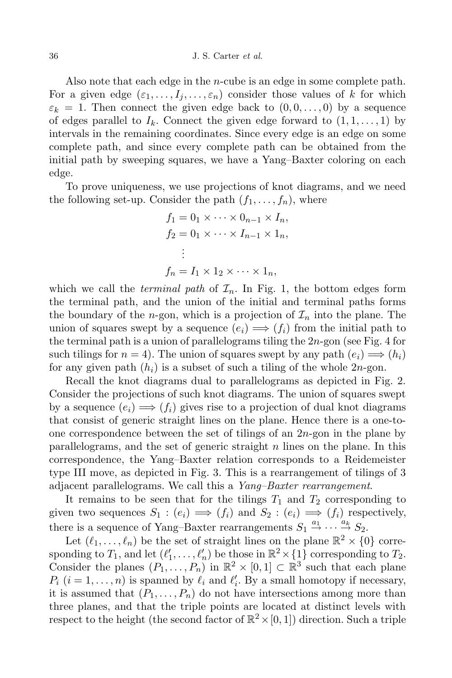Also note that each edge in the *n*-cube is an edge in some complete path. For a given edge  $(\varepsilon_1, \ldots, I_i, \ldots, \varepsilon_n)$  consider those values of *k* for which  $\varepsilon_k = 1$ . Then connect the given edge back to  $(0, 0, \ldots, 0)$  by a sequence of edges parallel to  $I_k$ . Connect the given edge forward to  $(1, 1, \ldots, 1)$  by intervals in the remaining coordinates. Since every edge is an edge on some complete path, and since every complete path can be obtained from the initial path by sweeping squares, we have a Yang–Baxter coloring on each edge.

To prove uniqueness, we use projections of knot diagrams, and we need the following set-up. Consider the path  $(f_1, \ldots, f_n)$ , where

$$
f_1 = 0_1 \times \cdots \times 0_{n-1} \times I_n,
$$
  
\n
$$
f_2 = 0_1 \times \cdots \times I_{n-1} \times 1_n,
$$
  
\n
$$
\vdots
$$
  
\n
$$
f_n = I_1 \times 1_2 \times \cdots \times 1_n,
$$

which we call the *terminal path* of  $\mathcal{I}_n$ . In Fig. 1, the bottom edges form the terminal path, and the union of the initial and terminal paths forms the boundary of the *n*-gon, which is a projection of  $\mathcal{I}_n$  into the plane. The union of squares swept by a sequence  $(e_i) \implies (f_i)$  from the initial path to the terminal path is a union of parallelograms tiling the 2*n*-gon (see Fig. 4 for such tilings for  $n = 4$ ). The union of squares swept by any path  $(e_i) \implies (h_i)$ for any given path (*hi*) is a subset of such a tiling of the whole 2*n*-gon.

Recall the knot diagrams dual to parallelograms as depicted in Fig. 2. Consider the projections of such knot diagrams. The union of squares swept by a sequence  $(e_i) \Longrightarrow (f_i)$  gives rise to a projection of dual knot diagrams that consist of generic straight lines on the plane. Hence there is a one-toone correspondence between the set of tilings of an 2*n*-gon in the plane by parallelograms, and the set of generic straight *n* lines on the plane. In this correspondence, the Yang–Baxter relation corresponds to a Reidemeister type III move, as depicted in Fig. 3. This is a rearrangement of tilings of 3 adjacent parallelograms. We call this a *Yang–Baxter rearrangement*.

It remains to be seen that for the tilings  $T_1$  and  $T_2$  corresponding to given two sequences  $S_1$ :  $(e_i) \implies (f_i)$  and  $S_2$ :  $(e_i) \implies (f_i)$  respectively, there is a sequence of Yang–Baxter rearrangements  $S_1 \stackrel{a_1}{\rightarrow} \cdots \stackrel{a_k}{\rightarrow} S_2$ .

Let  $(\ell_1, \ldots, \ell_n)$  be the set of straight lines on the plane  $\mathbb{R}^2 \times \{0\}$  corresponding to  $T_1$ , and let  $(\ell'_1, \ldots, \ell'_n)$  be those in  $\mathbb{R}^2 \times \{1\}$  corresponding to  $T_2$ . Consider the planes  $(P_1, \ldots, P_n)$  in  $\mathbb{R}^2 \times [0,1] \subset \mathbb{R}^3$  such that each plane  $P_i$  (*i* = 1, ..., *n*) is spanned by  $\ell_i$  and  $\ell'_i$ . By a small homotopy if necessary, it is assumed that  $(P_1, \ldots, P_n)$  do not have intersections among more than three planes, and that the triple points are located at distinct levels with respect to the height (the second factor of  $\mathbb{R}^2 \times [0,1]$ ) direction. Such a triple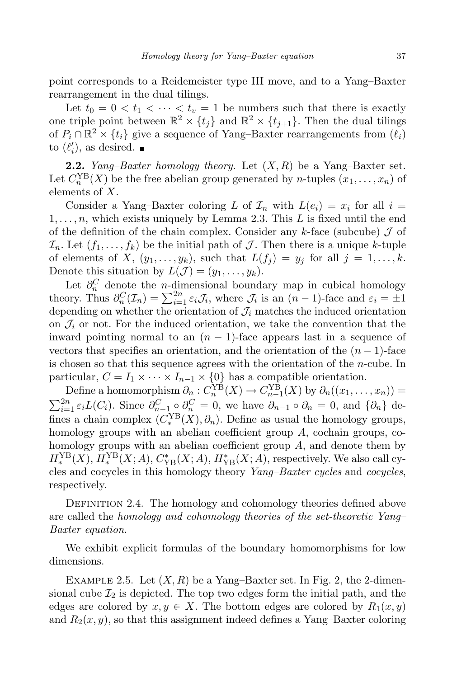point corresponds to a Reidemeister type III move, and to a Yang–Baxter rearrangement in the dual tilings.

Let  $t_0 = 0 < t_1 < \cdots < t_v = 1$  be numbers such that there is exactly one triple point between  $\mathbb{R}^2 \times \{t_j\}$  and  $\mathbb{R}^2 \times \{t_{j+1}\}$ . Then the dual tilings of  $P_i \cap \mathbb{R}^2 \times \{t_i\}$  give a sequence of Yang–Baxter rearrangements from  $(\ell_i)$ to  $(\ell'_i)$ , as desired.

**2.2.** *Yang–Baxter homology theory.* Let (*X, R*) be a Yang–Baxter set. Let  $C_n^{\text{YB}}(X)$  be the free abelian group generated by *n*-tuples  $(x_1, \ldots, x_n)$  of elements of *X*.

Consider a Yang–Baxter coloring *L* of  $\mathcal{I}_n$  with  $L(e_i) = x_i$  for all  $i =$  $1, \ldots, n$ , which exists uniquely by Lemma 2.3. This  $L$  is fixed until the end of the definition of the chain complex. Consider any *k*-face (subcube) *J* of  $\mathcal{I}_n$ . Let  $(f_1, \ldots, f_k)$  be the initial path of *J*. Then there is a unique *k*-tuple of elements of X,  $(y_1, \ldots, y_k)$ , such that  $L(f_i) = y_i$  for all  $j = 1, \ldots, k$ . Denote this situation by  $L(\mathcal{J}) = (y_1, \ldots, y_k)$ .

Let  $\partial_n^C$  denote the *n*-dimensional boundary map in cubical homology theory. Thus  $\partial_n^C(\mathcal{I}_n) = \sum_{i=1}^{2n} \varepsilon_i \mathcal{J}_i$ , where  $\mathcal{J}_i$  is an  $(n-1)$ -face and  $\varepsilon_i = \pm 1$ depending on whether the orientation of  $\mathcal{J}_i$  matches the induced orientation on  $\mathcal{J}_i$  or not. For the induced orientation, we take the convention that the inward pointing normal to an  $(n-1)$ -face appears last in a sequence of vectors that specifies an orientation, and the orientation of the  $(n-1)$ -face is chosen so that this sequence agrees with the orientation of the *n*-cube. In particular,  $C = I_1 \times \cdots \times I_{n-1} \times \{0\}$  has a compatible orientation.

Define a homomorphism  $\partial_n : C_n^{\text{YB}}(X) \to C_{n-1}^{\text{YB}}(X)$  by  $\partial_n((x_1, \ldots, x_n)) =$  $\sum_{i=1}^{2n} \varepsilon_i L(C_i)$ . Since  $\partial_{n-1}^C \circ \partial_n^C = 0$ , we have  $\partial_{n-1} \circ \partial_n = 0$ , and  $\{\partial_n\}$  defines a chain complex  $(C_*^{\text{YB}})$  $\mathcal{L}_*^{YB}(X), \partial_n$ ). Define as usual the homology groups, homology groups with an abelian coefficient group *A*, cochain groups, cohomology groups with an abelian coefficient group *A*, and denote them by  $H_*^{\text{YB}}(X)$ ,  $H_*^{\text{YB}}(X;A)$ ,  $C_{\text{YB}}^*(X;A)$ ,  $H_{\text{YB}}^*(X;A)$ , respectively. We also call cy-*∗ ∗* cles and cocycles in this homology theory *Yang–Baxter cycles* and *cocycles*, respectively.

DEFINITION 2.4. The homology and cohomology theories defined above are called the *homology and cohomology theories of the set-theoretic Yang– Baxter equation*.

We exhibit explicit formulas of the boundary homomorphisms for low dimensions.

EXAMPLE 2.5. Let  $(X, R)$  be a Yang–Baxter set. In Fig. 2, the 2-dimensional cube  $\mathcal{I}_2$  is depicted. The top two edges form the initial path, and the edges are colored by  $x, y \in X$ . The bottom edges are colored by  $R_1(x, y)$ and  $R_2(x, y)$ , so that this assignment indeed defines a Yang–Baxter coloring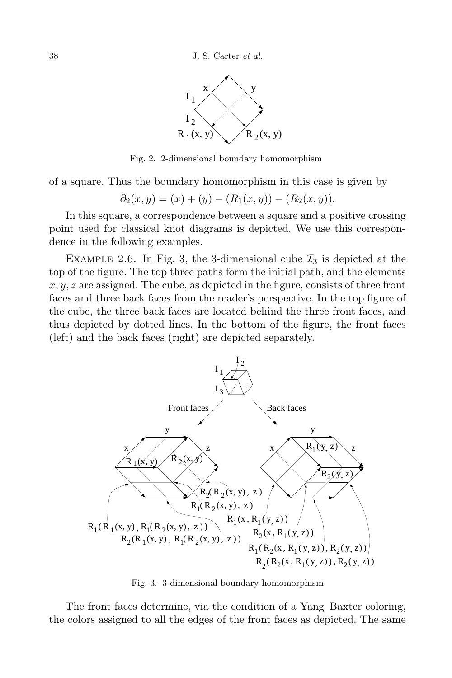

Fig. 2. 2-dimensional boundary homomorphism

of a square. Thus the boundary homomorphism in this case is given by

$$
\partial_2(x,y) = (x) + (y) - (R_1(x,y)) - (R_2(x,y)).
$$

In this square, a correspondence between a square and a positive crossing point used for classical knot diagrams is depicted. We use this correspondence in the following examples.

EXAMPLE 2.6. In Fig. 3, the 3-dimensional cube  $\mathcal{I}_3$  is depicted at the top of the figure. The top three paths form the initial path, and the elements *x, y, z* are assigned. The cube, as depicted in the figure, consists of three front faces and three back faces from the reader's perspective. In the top figure of the cube, the three back faces are located behind the three front faces, and thus depicted by dotted lines. In the bottom of the figure, the front faces (left) and the back faces (right) are depicted separately.



Fig. 3. 3-dimensional boundary homomorphism

The front faces determine, via the condition of a Yang–Baxter coloring, the colors assigned to all the edges of the front faces as depicted. The same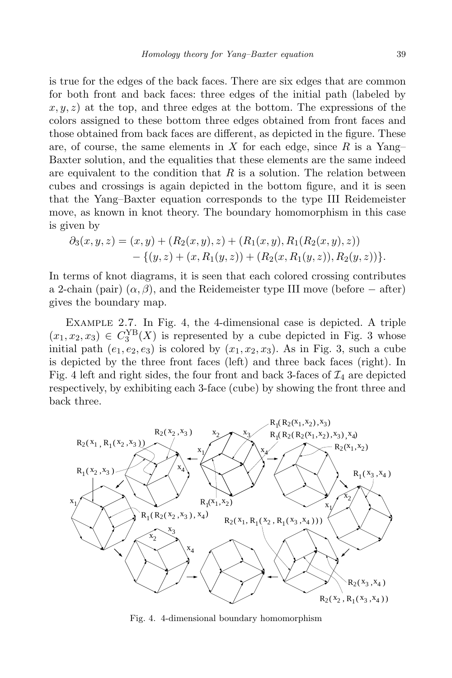is true for the edges of the back faces. There are six edges that are common for both front and back faces: three edges of the initial path (labeled by  $x, y, z$  at the top, and three edges at the bottom. The expressions of the colors assigned to these bottom three edges obtained from front faces and those obtained from back faces are different, as depicted in the figure. These are, of course, the same elements in *X* for each edge, since *R* is a Yang– Baxter solution, and the equalities that these elements are the same indeed are equivalent to the condition that *R* is a solution. The relation between cubes and crossings is again depicted in the bottom figure, and it is seen that the Yang–Baxter equation corresponds to the type III Reidemeister move, as known in knot theory. The boundary homomorphism in this case is given by

$$
\partial_3(x,y,z) = (x,y) + (R_2(x,y),z) + (R_1(x,y),R_1(R_2(x,y),z)) \n- \{(y,z) + (x,R_1(y,z)) + (R_2(x,R_1(y,z)),R_2(y,z))\}.
$$

In terms of knot diagrams, it is seen that each colored crossing contributes a 2-chain (pair)  $(\alpha, \beta)$ , and the Reidemeister type III move (before  $-\text{ after}$ ) gives the boundary map.

Example 2.7. In Fig. 4, the 4-dimensional case is depicted. A triple  $(x_1, x_2, x_3) \in C_3^{\text{YB}}(X)$  is represented by a cube depicted in Fig. 3 whose initial path  $(e_1, e_2, e_3)$  is colored by  $(x_1, x_2, x_3)$ . As in Fig. 3, such a cube is depicted by the three front faces (left) and three back faces (right). In Fig. 4 left and right sides, the four front and back 3-faces of  $\mathcal{I}_4$  are depicted respectively, by exhibiting each 3-face (cube) by showing the front three and back three.



Fig. 4. 4-dimensional boundary homomorphism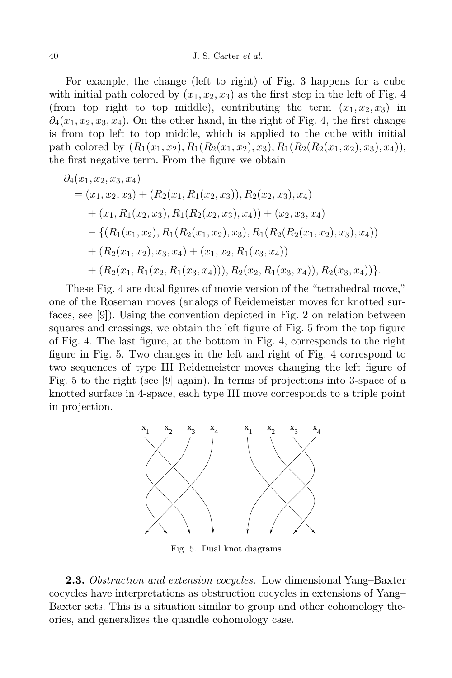For example, the change (left to right) of Fig. 3 happens for a cube with initial path colored by  $(x_1, x_2, x_3)$  as the first step in the left of Fig. 4 (from top right to top middle), contributing the term  $(x_1, x_2, x_3)$  in  $\partial_4(x_1, x_2, x_3, x_4)$ . On the other hand, in the right of Fig. 4, the first change is from top left to top middle, which is applied to the cube with initial path colored by  $(R_1(x_1, x_2), R_1(R_2(x_1, x_2), x_3), R_1(R_2(R_2(x_1, x_2), x_3), x_4)),$ the first negative term. From the figure we obtain

$$
\partial_4(x_1, x_2, x_3, x_4)
$$
  
=  $(x_1, x_2, x_3) + (R_2(x_1, R_1(x_2, x_3)), R_2(x_2, x_3), x_4)$   
+  $(x_1, R_1(x_2, x_3), R_1(R_2(x_2, x_3), x_4)) + (x_2, x_3, x_4)$   
-  $\{(R_1(x_1, x_2), R_1(R_2(x_1, x_2), x_3), R_1(R_2(R_2(x_1, x_2), x_3), x_4))$   
+  $(R_2(x_1, x_2), x_3, x_4) + (x_1, x_2, R_1(x_3, x_4))$   
+  $(R_2(x_1, R_1(x_2, R_1(x_3, x_4))), R_2(x_2, R_1(x_3, x_4)), R_2(x_3, x_4))\}.$ 

These Fig. 4 are dual figures of movie version of the "tetrahedral move," one of the Roseman moves (analogs of Reidemeister moves for knotted surfaces, see [9]). Using the convention depicted in Fig. 2 on relation between squares and crossings, we obtain the left figure of Fig. 5 from the top figure of Fig. 4. The last figure, at the bottom in Fig. 4, corresponds to the right figure in Fig. 5. Two changes in the left and right of Fig. 4 correspond to two sequences of type III Reidemeister moves changing the left figure of Fig. 5 to the right (see [9] again). In terms of projections into 3-space of a knotted surface in 4-space, each type III move corresponds to a triple point in projection.



Fig. 5. Dual knot diagrams

**2.3.** *Obstruction and extension cocycles.* Low dimensional Yang–Baxter cocycles have interpretations as obstruction cocycles in extensions of Yang– Baxter sets. This is a situation similar to group and other cohomology theories, and generalizes the quandle cohomology case.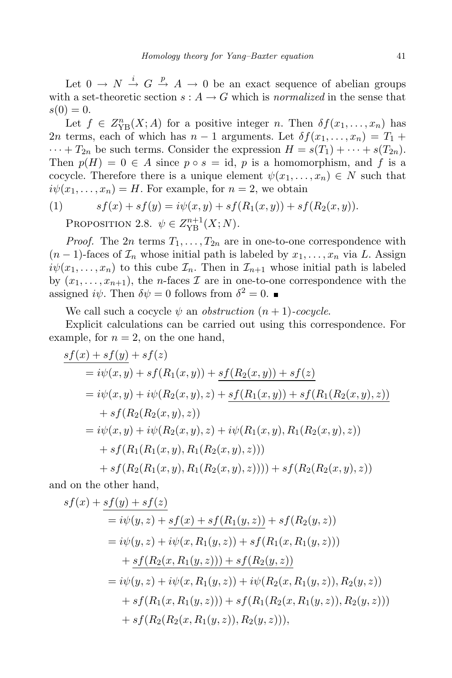Let  $0 \rightarrow N \stackrel{i}{\rightarrow} G \stackrel{p}{\rightarrow} A \rightarrow 0$  be an exact sequence of abelian groups with a set-theoretic section  $s: A \to G$  which is *normalized* in the sense that  $s(0) = 0.$ 

Let  $f \in Z_{\text{YB}}^n(X; A)$  for a positive integer *n*. Then  $\delta f(x_1, \ldots, x_n)$  has 2*n* terms, each of which has  $n-1$  arguments. Let  $\delta f(x_1, \ldots, x_n) = T_1 +$  $\cdots$  +  $T_{2n}$  be such terms. Consider the expression  $H = s(T_1) + \cdots + s(T_{2n}).$ Then  $p(H) = 0 \in A$  since  $p \circ s = id$ , *p* is a homomorphism, and *f* is a cocycle. Therefore there is a unique element  $\psi(x_1, \ldots, x_n) \in N$  such that  $i\psi(x_1,\ldots,x_n) = H$ . For example, for  $n = 2$ , we obtain

(1) 
$$
sf(x) + sf(y) = i\psi(x, y) + sf(R_1(x, y)) + sf(R_2(x, y)).
$$
PROPOSITION 2.8,  $\psi \in Z^{n+1}(Y, N)$ 

PROPOSITION 2.8.  $\psi \in Z_{\text{YB}}^{n+1}(X; N)$ *.* 

*Proof.* The 2*n* terms  $T_1, \ldots, T_{2n}$  are in one-to-one correspondence with  $(n-1)$ -faces of  $\mathcal{I}_n$  whose initial path is labeled by  $x_1, \ldots, x_n$  via *L*. Assign  $i\psi(x_1,\ldots,x_n)$  to this cube  $\mathcal{I}_n$ . Then in  $\mathcal{I}_{n+1}$  whose initial path is labeled by  $(x_1, \ldots, x_{n+1})$ , the *n*-faces  $\mathcal I$  are in one-to-one correspondence with the assigned  $i\psi$ . Then  $\delta\psi = 0$  follows from  $\delta^2 = 0$ .

We call such a cocycle  $\psi$  an *obstruction*  $(n + 1)$ *-cocycle*.

Explicit calculations can be carried out using this correspondence. For example, for  $n = 2$ , on the one hand,

$$
s f(x) + s f(y) + s f(z)
$$
  
=  $i\psi(x, y) + s f(R_1(x, y)) + s f(R_2(x, y)) + s f(z)$   
=  $i\psi(x, y) + i\psi(R_2(x, y), z) + s f(R_1(x, y)) + s f(R_1(R_2(x, y), z))$   
+  $s f(R_2(R_2(x, y), z))$   
=  $i\psi(x, y) + i\psi(R_2(x, y), z) + i\psi(R_1(x, y), R_1(R_2(x, y), z))$   
+  $s f(R_1(R_1(x, y), R_1(R_2(x, y), z))) + s f(R_2(R_2(x, y), z))$ 

and on the other hand,

$$
sf(x) + sf(y) + sf(z)
$$
  
=  $i\psi(y, z) + sf(x) + sf(R_1(y, z)) + sf(R_2(y, z))$   
=  $i\psi(y, z) + i\psi(x, R_1(y, z)) + sf(R_1(x, R_1(y, z)))$   
+  $sf(R_2(x, R_1(y, z))) + sf(R_2(y, z))$   
=  $i\psi(y, z) + i\psi(x, R_1(y, z)) + i\psi(R_2(x, R_1(y, z)), R_2(y, z))$   
+  $sf(R_1(x, R_1(y, z))) + sf(R_1(R_2(x, R_1(y, z)), R_2(y, z)))$   
+  $sf(R_2(R_2(x, R_1(y, z)), R_2(y, z))),$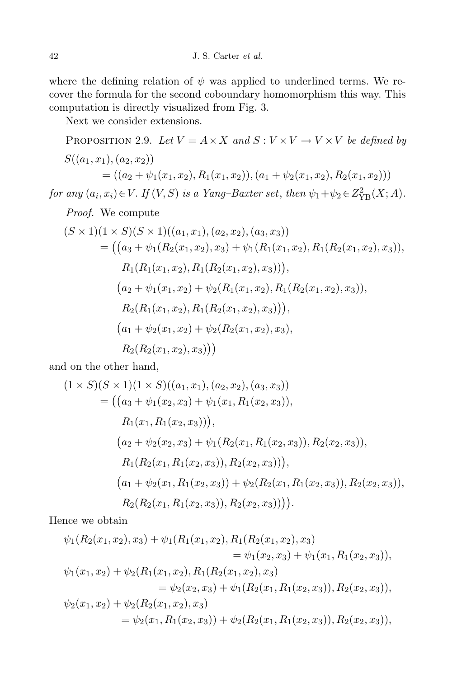where the defining relation of  $\psi$  was applied to underlined terms. We recover the formula for the second coboundary homomorphism this way. This computation is directly visualized from Fig. 3.

Next we consider extensions.

PROPOSITION 2.9. Let 
$$
V = A \times X
$$
 and  $S : V \times V \rightarrow V \times V$  be defined by  
\n
$$
S((a_1, x_1), (a_2, x_2))
$$
\n
$$
= ((a_2 + \psi_1(x_1, x_2), R_1(x_1, x_2)), (a_1 + \psi_2(x_1, x_2), R_2(x_1, x_2)))
$$
\nfor any  $(a_i, x_i) \in V$ . If  $(V, S)$  is a Yang-Baster set, then  $\psi_1 + \psi_2 \in Z_{YB}^2(X; A)$ .  
\n*Proof.* We compute

$$
(S \times 1)(1 \times S)(S \times 1)((a_1, x_1), (a_2, x_2), (a_3, x_3))
$$
  
= ((a<sub>3</sub> +  $\psi_1(R_2(x_1, x_2), x_3)$  +  $\psi_1(R_1(x_1, x_2), R_1(R_2(x_1, x_2), x_3)),$   
R<sub>1</sub>(R<sub>1</sub>(x<sub>1</sub>, x<sub>2</sub>), R<sub>1</sub>(R<sub>2</sub>(x<sub>1</sub>, x<sub>2</sub>), x<sub>3</sub>)),  
(a<sub>2</sub> +  $\psi_1(x_1, x_2)$  +  $\psi_2(R_1(x_1, x_2), R_1(R_2(x_1, x_2), x_3)),$   
R<sub>2</sub>(R<sub>1</sub>(x<sub>1</sub>, x<sub>2</sub>), R<sub>1</sub>(R<sub>2</sub>(x<sub>1</sub>, x<sub>2</sub>), x<sub>3</sub>)),  
(a<sub>1</sub> +  $\psi_2(x_1, x_2)$  +  $\psi_2(R_2(x_1, x_2), x_3)$ ,  
R<sub>2</sub>(R<sub>2</sub>(x<sub>1</sub>, x<sub>2</sub>), x<sub>3</sub>))

and on the other hand,

$$
(1 \times S)(S \times 1)(1 \times S)((a_1, x_1), (a_2, x_2), (a_3, x_3))
$$
  
= ((a<sub>3</sub> +  $\psi_1(x_2, x_3)$  +  $\psi_1(x_1, R_1(x_2, x_3)),$   
 $R_1(x_1, R_1(x_2, x_3))),$   
(a<sub>2</sub> +  $\psi_2(x_2, x_3)$  +  $\psi_1(R_2(x_1, R_1(x_2, x_3)), R_2(x_2, x_3)),$   
 $R_1(R_2(x_1, R_1(x_2, x_3)), R_2(x_2, x_3))),$   
(a<sub>1</sub> +  $\psi_2(x_1, R_1(x_2, x_3))$  +  $\psi_2(R_2(x_1, R_1(x_2, x_3)), R_2(x_2, x_3)),$   
 $R_2(R_2(x_1, R_1(x_2, x_3)), R_2(x_2, x_3)))).$ 

Hence we obtain

$$
\psi_1(R_2(x_1, x_2), x_3) + \psi_1(R_1(x_1, x_2), R_1(R_2(x_1, x_2), x_3)
$$
  
\n
$$
= \psi_1(x_2, x_3) + \psi_1(x_1, R_1(x_2, x_3)),
$$
  
\n
$$
\psi_1(x_1, x_2) + \psi_2(R_1(x_1, x_2), R_1(R_2(x_1, x_2), x_3)
$$
  
\n
$$
= \psi_2(x_2, x_3) + \psi_1(R_2(x_1, R_1(x_2, x_3)), R_2(x_2, x_3)),
$$
  
\n
$$
\psi_2(x_1, x_2) + \psi_2(R_2(x_1, x_2), x_3)
$$
  
\n
$$
= \psi_2(x_1, R_1(x_2, x_3)) + \psi_2(R_2(x_1, R_1(x_2, x_3)), R_2(x_2, x_3)),
$$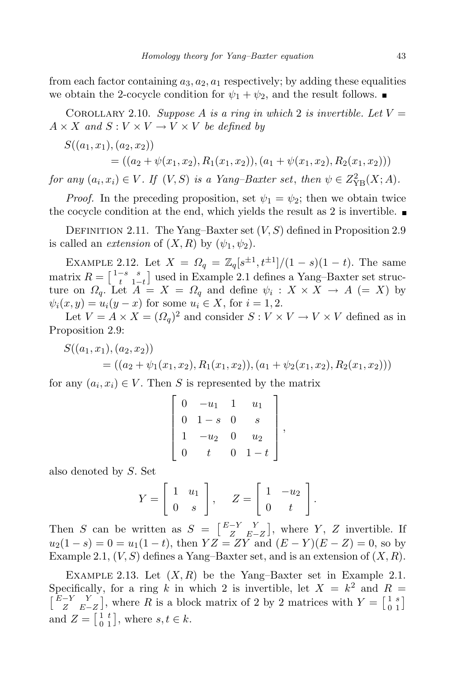from each factor containing  $a_3$ ,  $a_2$ ,  $a_1$  respectively; by adding these equalities we obtain the 2-cocycle condition for  $\psi_1 + \psi_2$ , and the result follows.

COROLLARY 2.10. *Suppose* A *is* a ring in which 2 *is* invertible. Let  $V =$  $A \times X$  *and*  $S: V \times V \rightarrow V \times V$  *be defined by* 

$$
S((a_1, x_1), (a_2, x_2))
$$
  
= ((a<sub>2</sub> +  $\psi$ (x<sub>1</sub>, x<sub>2</sub>), R<sub>1</sub>(x<sub>1</sub>, x<sub>2</sub>)), (a<sub>1</sub> +  $\psi$ (x<sub>1</sub>, x<sub>2</sub>), R<sub>2</sub>(x<sub>1</sub>, x<sub>2</sub>)))

for any  $(a_i, x_i) \in V$ . If  $(V, S)$  is a Yang-Baxter set, then  $\psi \in Z^2_{\text{YB}}(X; A)$ .

*Proof.* In the preceding proposition, set  $\psi_1 = \psi_2$ ; then we obtain twice the cocycle condition at the end, which yields the result as 2 is invertible.  $\blacksquare$ 

DEFINITION 2.11. The Yang–Baxter set  $(V, S)$  defined in Proposition 2.9 is called an *extension* of  $(X, R)$  by  $(\psi_1, \psi_2)$ .

EXAMPLE 2.12. Let  $X = \Omega_q = \mathbb{Z}_q[s^{\pm 1}, t^{\pm 1}]/(1-s)(1-t)$ . The same matrix  $R = \begin{bmatrix} 1-s & s \\ t & 1-t \end{bmatrix}$  used in Example 2.1 defines a Yang–Baxter set struc- $\alpha$   $T = \begin{bmatrix} t & 1-t \end{bmatrix}$  decd in Example 2.1 defines a range Baxter set strate-<br>ture on  $\Omega_q$ . Let  $A = X = \Omega_q$  and define  $\psi_i : X \times X \to A$  (= *X*) by  $\psi_i(x, y) = u_i(y - x)$  for some  $u_i \in X$ , for  $i = 1, 2$ .

Let  $V = A \times X = (\Omega_q)^2$  and consider  $S: V \times V \to V \times V$  defined as in Proposition 2.9:

$$
S((a_1, x_1), (a_2, x_2))
$$
  
= ((a<sub>2</sub> +  $\psi_1(x_1, x_2), R_1(x_1, x_2), (a_1 + \psi_2(x_1, x_2), R_2(x_1, x_2)))$ 

for any  $(a_i, x_i) \in V$ . Then *S* is represented by the matrix

$$
\left[\begin{array}{cccc} 0 & -u_1 & 1 & u_1 \\ 0 & 1-s & 0 & s \\ 1 & -u_2 & 0 & u_2 \\ 0 & t & 0 & 1-t \end{array}\right],
$$

also denoted by *S*. Set

$$
Y = \left[ \begin{array}{cc} 1 & u_1 \\ 0 & s \end{array} \right], \quad Z = \left[ \begin{array}{cc} 1 & -u_2 \\ 0 & t \end{array} \right].
$$

Then *S* can be written as  $S = \begin{bmatrix} E-Y & Y \\ Z & E-Y \end{bmatrix}$ *Z E−Z* ], where  $Y$ ,  $Z$  invertible. If  $u_2(1-s) = 0 = u_1(1-t)$ , then  $YZ = ZY$  and  $(E - Y)(E - Z) = 0$ , so by Example 2.1,  $(V, S)$  defines a Yang–Baxter set, and is an extension of  $(X, R)$ .

EXAMPLE 2.13. Let  $(X, R)$  be the Yang–Baxter set in Example 2.1. Specifically, for a ring k in which 2 is invertible, let  $X = k^2$  and  $R =$ - *E−Y Y Z E−Z* , where *R* is a block matrix of 2 by 2 matrices with  $Y = \begin{bmatrix} 1 & s \\ 0 & 1 \end{bmatrix}$  $\begin{bmatrix} 1 & s \\ 0 & 1 \end{bmatrix}$ and  $Z = \begin{bmatrix} 1 & t \\ 0 & 1 \end{bmatrix}$  $\begin{bmatrix} 1 & t \\ 0 & 1 \end{bmatrix}$ , where  $s, t \in k$ .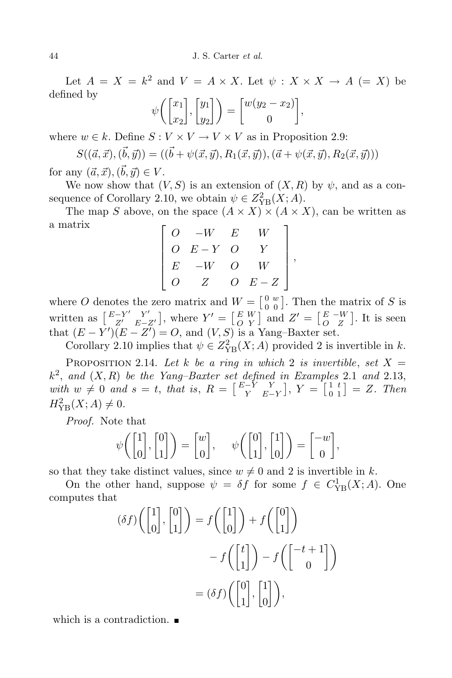Let  $A = X = k^2$  and  $V = A \times X$ . Let  $\psi : X \times X \to A$  (= X) be defined by

$$
\psi\bigg(\begin{bmatrix} x_1 \\ x_2 \end{bmatrix}, \begin{bmatrix} y_1 \\ y_2 \end{bmatrix}\bigg) = \begin{bmatrix} w(y_2 - x_2) \\ 0 \end{bmatrix},
$$

where  $w \in k$ . Define  $S: V \times V \to V \times V$  as in Proposition 2.9:

$$
S((\vec{a},\vec{x}),(\vec{b},\vec{y})) = ((\vec{b} + \psi(\vec{x},\vec{y}), R_1(\vec{x},\vec{y})), (\vec{a} + \psi(\vec{x},\vec{y}), R_2(\vec{x},\vec{y})))
$$

for any  $(\vec{a}, \vec{x}), (\vec{b}, \vec{y}) \in V$ .

We now show that  $(V, S)$  is an extension of  $(X, R)$  by  $\psi$ , and as a consequence of Corollary 2.10, we obtain  $\psi \in Z_{YB}^2(X;A)$ .

The map *S* above, on the space  $(A \times X) \times (A \times X)$ , can be written as a matrix 1

$$
\begin{bmatrix} O & -W & E & W \\ O & E-Y & O & Y \\ E & -W & O & W \\ O & Z & O & E-Z \end{bmatrix},
$$

where *O* denotes the zero matrix and  $W = \begin{bmatrix} 0 & w \\ 0 & 0 \end{bmatrix}$  $\begin{bmatrix} 0 & w \\ 0 & 0 \end{bmatrix}$ . Then the matrix of *S* is written as  $\begin{bmatrix} E-Y' & Y' \\ Z' & E \end{bmatrix}$ *Z*<sup>*l*</sup> *E−Z<sup><i>l*</sup></sup> , where  $Y' = \begin{bmatrix} E & W \\ O & Y \end{bmatrix}$  $\begin{bmatrix} E & W \\ O & Y \end{bmatrix}$  and  $Z' = \begin{bmatrix} E & -W \\ O & Z \end{bmatrix}$ . It is seen that  $(E - Y')(E - Z') = O$ , and  $(V, S)$  is a Yang–Baxter set.

Corollary 2.10 implies that  $\psi \in Z_{\text{YB}}^2(X; A)$  provided 2 is invertible in *k*. PROPOSITION 2.14. Let *k* be a ring in which 2 is invertible, set  $X =$ 

*k* 2 , *and* (*X, R*) *be the Yang–Baxter set defined in Examples* 2.1 *and* 2.13,  $with \ w \neq 0 \ and \ s = t, \ that \ is, \ R = \begin{bmatrix} E-Y & Y \\ Y & E-T \end{bmatrix}$ *Y E−Y*  $\bigg|, Y = \bigg[ \begin{smallmatrix} 1 & t \\ 0 & 1 \end{smallmatrix} \bigg]$  $\begin{bmatrix} 1 & t \\ 0 & 1 \end{bmatrix} = Z$ . *Then*  $H_{\text{YB}}^{2}(X; A) \neq 0.$ 

*Proof.* Note that

$$
\psi\bigg(\begin{bmatrix}1\\0\end{bmatrix},\begin{bmatrix}0\\1\end{bmatrix}\bigg) = \begin{bmatrix}w\\0\end{bmatrix}, \quad \psi\bigg(\begin{bmatrix}0\\1\end{bmatrix},\begin{bmatrix}1\\0\end{bmatrix}\bigg) = \begin{bmatrix}-w\\0\end{bmatrix},
$$

so that they take distinct values, since  $w \neq 0$  and 2 is invertible in *k*.

On the other hand, suppose  $\psi = \delta f$  for some  $f \in C_{YB}^1(X; A)$ . One computes that

$$
(\delta f) \left( \begin{bmatrix} 1 \\ 0 \end{bmatrix}, \begin{bmatrix} 0 \\ 1 \end{bmatrix} \right) = f \left( \begin{bmatrix} 1 \\ 0 \end{bmatrix} \right) + f \left( \begin{bmatrix} 0 \\ 1 \end{bmatrix} \right)
$$

$$
- f \left( \begin{bmatrix} t \\ 1 \end{bmatrix} \right) - f \left( \begin{bmatrix} -t + 1 \\ 0 \end{bmatrix} \right)
$$

$$
= (\delta f) \left( \begin{bmatrix} 0 \\ 1 \end{bmatrix}, \begin{bmatrix} 1 \\ 0 \end{bmatrix} \right),
$$

which is a contradiction.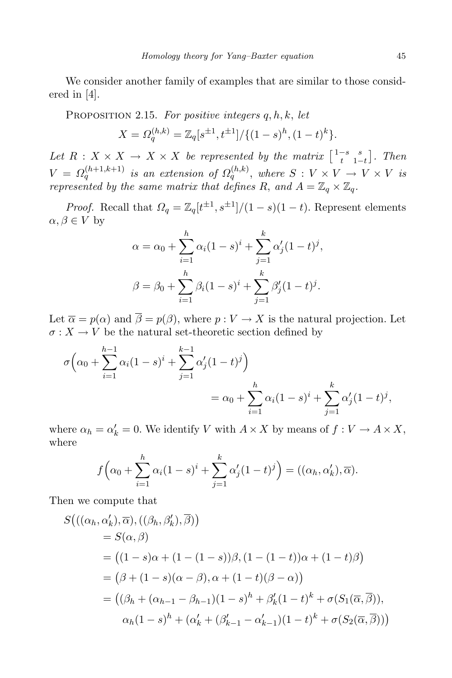We consider another family of examples that are similar to those considered in [4].

Proposition 2.15. *For positive integers q, h, k*, *let*

$$
X = \Omega_q^{(h,k)} = \mathbb{Z}_q[s^{\pm 1}, t^{\pm 1}]/\{(1-s)^h, (1-t)^k\}.
$$

Let  $R: X \times X \rightarrow X \times X$  be represented by the matrix  $\begin{bmatrix} 1-s & s \\ t & 1-t \end{bmatrix}$ *t* 1*−t . Then*  $V = \Omega_q^{(h+1,k+1)}$  is an extension of  $\Omega_q^{(h,k)}$ , where  $S: V \times V \rightarrow V \times V$  is *represented* by the same matrix that defines R, and  $A = \mathbb{Z}_q \times \mathbb{Z}_q$ .

*Proof.* Recall that  $\Omega_q = \mathbb{Z}_q[t^{\pm 1}, s^{\pm 1}]/(1-s)(1-t)$ . Represent elements  $\alpha, \beta \in V$  by

$$
\alpha = \alpha_0 + \sum_{i=1}^h \alpha_i (1-s)^i + \sum_{j=1}^k \alpha'_j (1-t)^j,
$$
  

$$
\beta = \beta_0 + \sum_{i=1}^h \beta_i (1-s)^i + \sum_{j=1}^k \beta'_j (1-t)^j.
$$

Let  $\overline{\alpha} = p(\alpha)$  and  $\overline{\beta} = p(\beta)$ , where  $p: V \to X$  is the natural projection. Let  $\sigma: X \to V$  be the natural set-theoretic section defined by

$$
\sigma\Big(\alpha_0 + \sum_{i=1}^{h-1} \alpha_i (1-s)^i + \sum_{j=1}^{k-1} \alpha'_j (1-t)^j\Big)
$$
  
=  $\alpha_0 + \sum_{i=1}^h \alpha_i (1-s)^i + \sum_{j=1}^k \alpha'_j (1-t)^j,$ 

where  $\alpha_h = \alpha'_k = 0$ . We identify *V* with  $A \times X$  by means of  $f: V \to A \times X$ , where

$$
f\left(\alpha_0 + \sum_{i=1}^h \alpha_i (1-s)^i + \sum_{j=1}^k \alpha'_j (1-t)^j\right) = ((\alpha_h, \alpha'_k), \overline{\alpha}).
$$

Then we compute that

$$
S(((\alpha_h, \alpha'_k), \overline{\alpha}), ((\beta_h, \beta'_k), \overline{\beta}))
$$
  
=  $S(\alpha, \beta)$   
=  $((1 - s)\alpha + (1 - (1 - s))\beta, (1 - (1 - t))\alpha + (1 - t)\beta)$   
=  $(\beta + (1 - s)(\alpha - \beta), \alpha + (1 - t)(\beta - \alpha))$   
=  $((\beta_h + (\alpha_{h-1} - \beta_{h-1})(1 - s)^h + \beta'_k(1 - t)^k + \sigma(S_1(\overline{\alpha}, \overline{\beta})),$   
 $\alpha_h(1 - s)^h + (\alpha'_k + (\beta'_{k-1} - \alpha'_{k-1})(1 - t)^k + \sigma(S_2(\overline{\alpha}, \overline{\beta})))$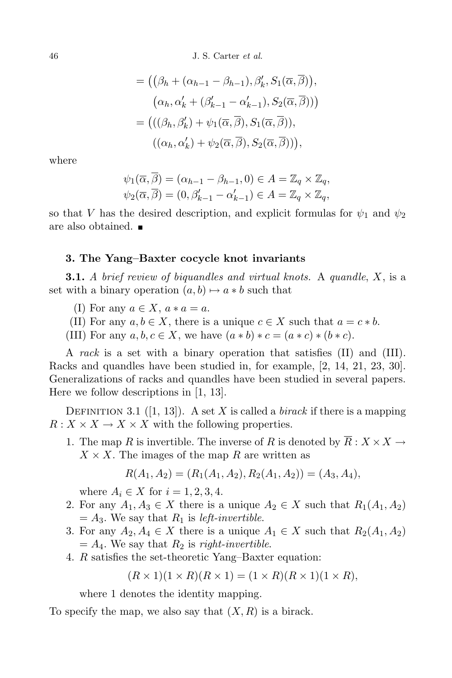46 J. S. Carter *et al.*

$$
= ((\beta_h + (\alpha_{h-1} - \beta_{h-1}), \beta'_k, S_1(\overline{\alpha}, \overline{\beta})),
$$
  
\n
$$
(\alpha_h, \alpha'_k + (\beta'_{k-1} - \alpha'_{k-1}), S_2(\overline{\alpha}, \overline{\beta})))
$$
  
\n
$$
= (((\beta_h, \beta'_k) + \psi_1(\overline{\alpha}, \overline{\beta}), S_1(\overline{\alpha}, \overline{\beta})),
$$
  
\n
$$
((\alpha_h, \alpha'_k) + \psi_2(\overline{\alpha}, \overline{\beta}), S_2(\overline{\alpha}, \overline{\beta}))),
$$

where

$$
\psi_1(\overline{\alpha}, \beta) = (\alpha_{h-1} - \beta_{h-1}, 0) \in A = \mathbb{Z}_q \times \mathbb{Z}_q,
$$
  

$$
\psi_2(\overline{\alpha}, \overline{\beta}) = (0, \beta'_{k-1} - \alpha'_{k-1}) \in A = \mathbb{Z}_q \times \mathbb{Z}_q,
$$

so that *V* has the desired description, and explicit formulas for  $\psi_1$  and  $\psi_2$ are also obtained.

### **3. The Yang–Baxter cocycle knot invariants**

**3.1.** *A brief review of biquandles and virtual knots.* A *quandle*, *X*, is a set with a binary operation  $(a, b) \mapsto a * b$  such that

- (I) For any  $a \in X$ ,  $a * a = a$ .
- (II) For any  $a, b \in X$ , there is a unique  $c \in X$  such that  $a = c * b$ .
- (III) For any  $a, b, c \in X$ , we have  $(a * b) * c = (a * c) * (b * c)$ .

A *rack* is a set with a binary operation that satisfies (II) and (III). Racks and quandles have been studied in, for example, [2, 14, 21, 23, 30]. Generalizations of racks and quandles have been studied in several papers. Here we follow descriptions in [1, 13].

DEFINITION 3.1 ([1, 13]). A set X is called a *birack* if there is a mapping  $R: X \times X \rightarrow X \times X$  with the following properties.

1. The map *R* is invertible. The inverse of *R* is denoted by  $R: X \times X \rightarrow$  $X \times X$ . The images of the map *R* are written as

$$
R(A_1, A_2) = (R_1(A_1, A_2), R_2(A_1, A_2)) = (A_3, A_4),
$$

where  $A_i \in X$  for  $i = 1, 2, 3, 4$ .

- 2. For any  $A_1, A_3 \in X$  there is a unique  $A_2 \in X$  such that  $R_1(A_1, A_2)$  $= A_3$ . We say that  $R_1$  is *left-invertible*.
- 3. For any  $A_2, A_4 \in X$  there is a unique  $A_1 \in X$  such that  $R_2(A_1, A_2)$  $= A_4$ . We say that  $R_2$  is *right-invertible*.
- 4. *R* satisfies the set-theoretic Yang–Baxter equation:

$$
(R \times 1)(1 \times R)(R \times 1) = (1 \times R)(R \times 1)(1 \times R),
$$

where 1 denotes the identity mapping.

To specify the map, we also say that (*X, R*) is a birack.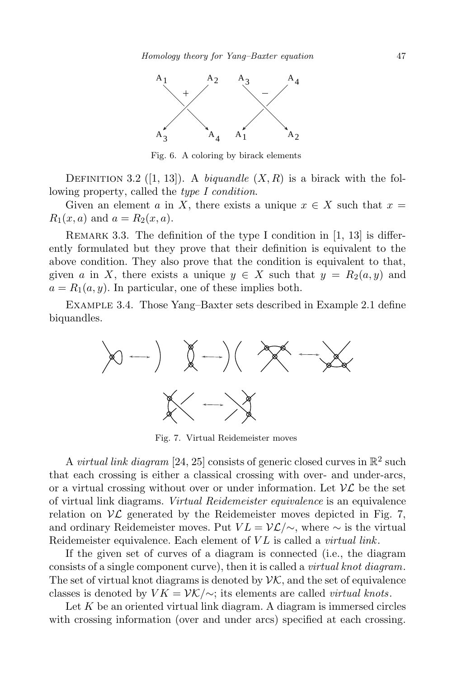

Fig. 6. A coloring by birack elements

DEFINITION 3.2 (1, 13). A *biquandle*  $(X, R)$  is a birack with the following property, called the *type I condition*.

Given an element *a* in *X*, there exists a unique  $x \in X$  such that  $x =$  $R_1(x, a)$  and  $a = R_2(x, a)$ .

REMARK 3.3. The definition of the type I condition in  $[1, 13]$  is differently formulated but they prove that their definition is equivalent to the above condition. They also prove that the condition is equivalent to that, given *a* in *X*, there exists a unique  $y \in X$  such that  $y = R_2(a, y)$  and  $a = R_1(a, y)$ . In particular, one of these implies both.

Example 3.4. Those Yang–Baxter sets described in Example 2.1 define biquandles.



Fig. 7. Virtual Reidemeister moves

A *virtual link diagram* [24, 25] consists of generic closed curves in  $\mathbb{R}^2$  such that each crossing is either a classical crossing with over- and under-arcs, or a virtual crossing without over or under information. Let  $\mathcal{VL}$  be the set of virtual link diagrams. *Virtual Reidemeister equivalence* is an equivalence relation on  $\mathcal{VL}$  generated by the Reidemeister moves depicted in Fig. 7, and ordinary Reidemeister moves. Put  $VL = \mathcal{VL}/\sim$ , where  $\sim$  is the virtual Reidemeister equivalence. Each element of *V L* is called a *virtual link*.

If the given set of curves of a diagram is connected (i.e., the diagram consists of a single component curve), then it is called a *virtual knot diagram*. The set of virtual knot diagrams is denoted by  $\mathcal{VK}$ , and the set of equivalence classes is denoted by  $VK = \mathcal{VK}/\sim$ ; its elements are called *virtual knots*.

Let *K* be an oriented virtual link diagram. A diagram is immersed circles with crossing information (over and under arcs) specified at each crossing.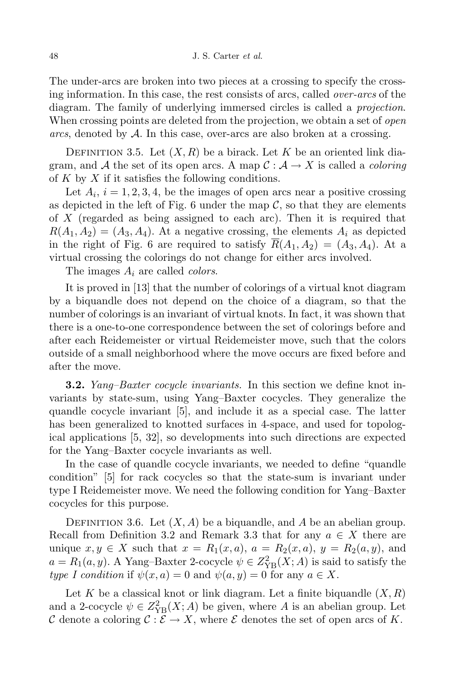The under-arcs are broken into two pieces at a crossing to specify the crossing information. In this case, the rest consists of arcs, called *over-arcs* of the diagram. The family of underlying immersed circles is called a *projection*. When crossing points are deleted from the projection, we obtain a set of *open arcs*, denoted by *A*. In this case, over-arcs are also broken at a crossing.

DEFINITION 3.5. Let  $(X, R)$  be a birack. Let K be an oriented link diagram, and  $\mathcal A$  the set of its open arcs. A map  $\mathcal C: \mathcal A \to X$  is called a *coloring* of *K* by *X* if it satisfies the following conditions.

Let  $A_i$ ,  $i = 1, 2, 3, 4$ , be the images of open arcs near a positive crossing as depicted in the left of Fig. 6 under the map  $\mathcal{C}$ , so that they are elements of *X* (regarded as being assigned to each arc). Then it is required that  $R(A_1, A_2) = (A_3, A_4)$ . At a negative crossing, the elements  $A_i$  as depicted in the right of Fig. 6 are required to satisfy  $R(A_1, A_2) = (A_3, A_4)$ . At a virtual crossing the colorings do not change for either arcs involved.

The images *A<sup>i</sup>* are called *colors*.

It is proved in [13] that the number of colorings of a virtual knot diagram by a biquandle does not depend on the choice of a diagram, so that the number of colorings is an invariant of virtual knots. In fact, it was shown that there is a one-to-one correspondence between the set of colorings before and after each Reidemeister or virtual Reidemeister move, such that the colors outside of a small neighborhood where the move occurs are fixed before and after the move.

**3.2.** *Yang–Baxter cocycle invariants.* In this section we define knot invariants by state-sum, using Yang–Baxter cocycles. They generalize the quandle cocycle invariant [5], and include it as a special case. The latter has been generalized to knotted surfaces in 4-space, and used for topological applications [5, 32], so developments into such directions are expected for the Yang–Baxter cocycle invariants as well.

In the case of quandle cocycle invariants, we needed to define "quandle condition" [5] for rack cocycles so that the state-sum is invariant under type I Reidemeister move. We need the following condition for Yang–Baxter cocycles for this purpose.

DEFINITION 3.6. Let  $(X, A)$  be a biquandle, and A be an abelian group. Recall from Definition 3.2 and Remark 3.3 that for any  $a \in X$  there are unique  $x, y \in X$  such that  $x = R_1(x, a), a = R_2(x, a), y = R_2(a, y)$ , and  $a = R_1(a, y)$ . A Yang–Baxter 2-cocycle  $\psi \in Z_{YB}^2(X; A)$  is said to satisfy the *type I condition* if  $\psi(x, a) = 0$  and  $\psi(a, y) = 0$  for any  $a \in X$ .

Let *K* be a classical knot or link diagram. Let a finite biquandle  $(X, R)$ and a 2-cocycle  $\psi \in Z_{YB}^2(X; A)$  be given, where *A* is an abelian group. Let *C* denote a coloring  $C : \mathcal{E} \to X$ , where  $\mathcal{E}$  denotes the set of open arcs of *K*.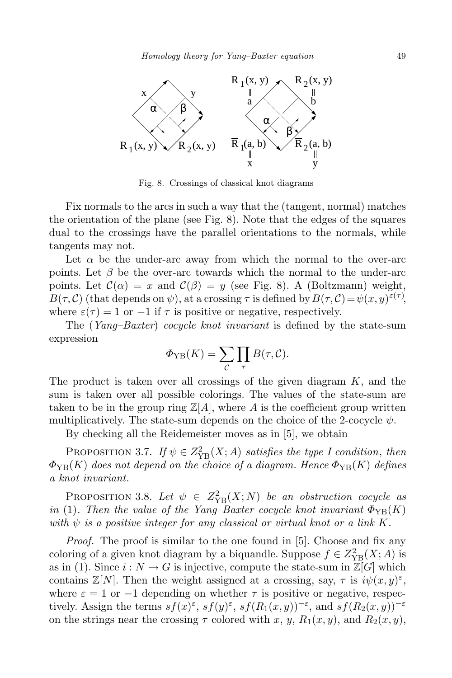

Fig. 8. Crossings of classical knot diagrams

Fix normals to the arcs in such a way that the (tangent, normal) matches the orientation of the plane (see Fig. 8). Note that the edges of the squares dual to the crossings have the parallel orientations to the normals, while tangents may not.

Let  $\alpha$  be the under-arc away from which the normal to the over-arc points. Let  $\beta$  be the over-arc towards which the normal to the under-arc points. Let  $\mathcal{C}(\alpha) = x$  and  $\mathcal{C}(\beta) = y$  (see Fig. 8). A (Boltzmann) weight, *B*( $\tau$ , *C*) (that depends on  $\psi$ ), at a crossing  $\tau$  is defined by  $B(\tau, C) = \psi(x, y)^{\varepsilon(\tau)}$ , where  $\varepsilon(\tau) = 1$  or  $-1$  if  $\tau$  is positive or negative, respectively.

The (*Yang–Baxter*) *cocycle knot invariant* is defined by the state-sum expression

$$
\Phi_{\text{YB}}(K) = \sum_{\mathcal{C}} \prod_{\tau} B(\tau, \mathcal{C}).
$$

The product is taken over all crossings of the given diagram *K*, and the sum is taken over all possible colorings. The values of the state-sum are taken to be in the group ring  $\mathbb{Z}[A]$ , where A is the coefficient group written multiplicatively. The state-sum depends on the choice of the 2-cocycle  $\psi$ .

By checking all the Reidemeister moves as in [5], we obtain

PROPOSITION 3.7. *If*  $\psi \in Z_{YB}^2(X; A)$  *satisfies the type I condition, then*  $\Phi_{\text{YB}}(K)$  *does not depend on the choice of a diagram. Hence*  $\Phi_{\text{YB}}(K)$  *defines a knot invariant.*

PROPOSITION 3.8. Let  $\psi \in Z_{YB}^2(X;N)$  be an obstruction cocycle as *in* (1). Then the value of the Yang–Baxter cocycle knot invariant  $\Phi_{\text{YB}}(K)$ *with ψ is a positive integer for any classical or virtual knot or a link K.*

*Proof.* The proof is similar to the one found in [5]. Choose and fix any coloring of a given knot diagram by a biquandle. Suppose  $f \in Z_{\text{YB}}^2(X; A)$  is as in (1). Since  $i: N \to G$  is injective, compute the state-sum in  $\mathbb{Z}[G]$  which contains  $\mathbb{Z}[N]$ . Then the weight assigned at a crossing, say,  $\tau$  is  $i\psi(x,y)$ <sup> $\varepsilon$ </sup>, where  $\varepsilon = 1$  or  $-1$  depending on whether  $\tau$  is positive or negative, respectively. Assign the terms  $sf(x)$ <sup>ε</sup>,  $sf(y)$ <sup>ε</sup>,  $sf(R_1(x,y))$ <sup>-ε</sup>, and  $sf(R_2(x,y))$ <sup>-ε</sup> on the strings near the crossing  $\tau$  colored with *x*, *y*,  $R_1(x, y)$ , and  $R_2(x, y)$ ,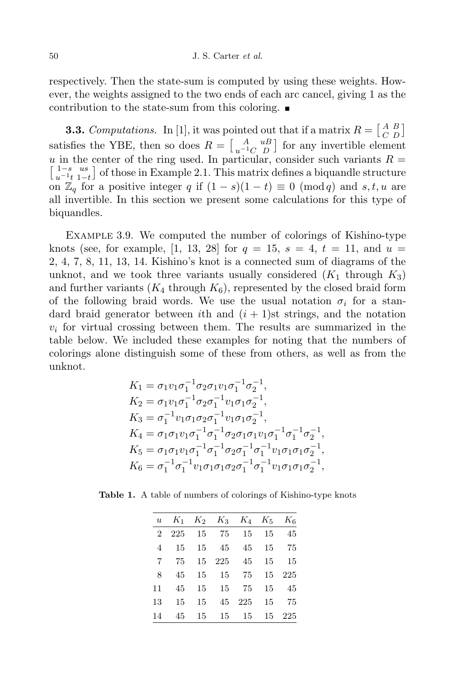respectively. Then the state-sum is computed by using these weights. However, the weights assigned to the two ends of each arc cancel, giving 1 as the contribution to the state-sum from this coloring.

**3.3.** *Computations.* In [1], it was pointed out that if a matrix  $R = \begin{bmatrix} A & B \\ C & D \end{bmatrix}$  $\begin{bmatrix} A & B \\ C & D \end{bmatrix}$ satisfies the YBE, then so does  $R = \begin{bmatrix} A & uB \\ u^{-1}C & D \end{bmatrix}$  for any invertible element *u* in the center of the ring used. In particular, consider such variants  $R = \begin{bmatrix} 1-s & us \\ u^{-1}t & 1-t \end{bmatrix}$  of those in Example 2.1. This matrix defines a biquandle structure of those in Example 2.1. This matrix defines a biquandle structure on  $\mathbb{Z}_q$  for a positive integer *q* if  $(1-s)(1-t) \equiv 0 \pmod{q}$  and *s,t, u* are all invertible. In this section we present some calculations for this type of biquandles.

Example 3.9. We computed the number of colorings of Kishino-type knots (see, for example, [1, 13, 28] for  $q = 15$ ,  $s = 4$ ,  $t = 11$ , and  $u =$ 2, 4, 7, 8, 11, 13, 14. Kishino's knot is a connected sum of diagrams of the unknot, and we took three variants usually considered  $(K_1$  through  $K_3$ ) and further variants  $(K_4$  through  $K_6$ , represented by the closed braid form of the following braid words. We use the usual notation  $\sigma_i$  for a standard braid generator between *i*th and  $(i + 1)$ st strings, and the notation  $v_i$  for virtual crossing between them. The results are summarized in the table below. We included these examples for noting that the numbers of colorings alone distinguish some of these from others, as well as from the unknot.

$$
K_1 = \sigma_1 v_1 \sigma_1^{-1} \sigma_2 \sigma_1 v_1 \sigma_1^{-1} \sigma_2^{-1},
$$
  
\n
$$
K_2 = \sigma_1 v_1 \sigma_1^{-1} \sigma_2 \sigma_1^{-1} v_1 \sigma_1 \sigma_2^{-1},
$$
  
\n
$$
K_3 = \sigma_1^{-1} v_1 \sigma_1 \sigma_2 \sigma_1^{-1} v_1 \sigma_1 \sigma_2^{-1},
$$
  
\n
$$
K_4 = \sigma_1 \sigma_1 v_1 \sigma_1^{-1} \sigma_1^{-1} \sigma_2 \sigma_1 \sigma_1 v_1 \sigma_1^{-1} \sigma_1^{-1} \sigma_2^{-1},
$$
  
\n
$$
K_5 = \sigma_1 \sigma_1 v_1 \sigma_1^{-1} \sigma_1^{-1} \sigma_2 \sigma_1^{-1} \sigma_1^{-1} v_1 \sigma_1 \sigma_1 \sigma_2^{-1},
$$
  
\n
$$
K_6 = \sigma_1^{-1} \sigma_1^{-1} v_1 \sigma_1 \sigma_1 \sigma_2 \sigma_1^{-1} \sigma_1^{-1} v_1 \sigma_1 \sigma_1 \sigma_2^{-1},
$$

**Table 1.** A table of numbers of colorings of Kishino-type knots

|                |    |    |       | u $K_1$ $K_2$ $K_3$ $K_4$ $K_5$ $K_6$ |    |        |
|----------------|----|----|-------|---------------------------------------|----|--------|
| $\overline{2}$ |    |    |       | 225 15 75 15                          | 15 | 45     |
| 4              | 15 |    | 15 45 | 45                                    | 15 | 75     |
| 7              | 75 |    |       | 15 225 45                             | 15 | 15     |
| 8              | 45 |    |       | 15 15 75                              |    | 15 225 |
| 11             | 45 |    | 15 15 | - 75                                  | 15 | 45     |
| 13             | 15 | 15 | 45    | 225                                   | 15 | 75     |
| 14             |    |    |       | 45 15 15 15                           |    | 15 225 |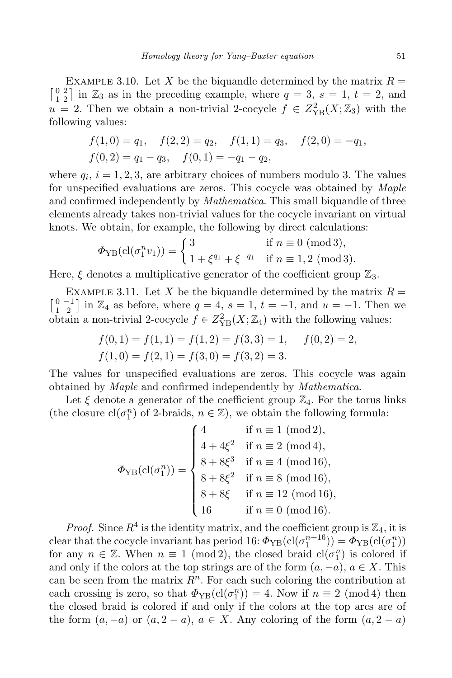EXAMPLE 3.10. Let *X* be the biquandle determined by the matrix  $R = \begin{bmatrix} 0 & 2 \\ 1 & 2 \end{bmatrix}$  in  $\mathbb{Z}_3$  as in the preceding example, where  $q = 3$ ,  $s = 1$ ,  $t = 2$ , and  $\begin{bmatrix} 0 & 2 \\ 1 & 2 \end{bmatrix}$  in  $\mathbb{Z}_3$  as in the preceding example, where  $q = 3$ ,  $s = 1$ ,  $t = 2$ , and  $u = 2$ . Then we obtain a non-trivial 2-cocycle  $f \in Z_{\text{YB}}^2(X; \mathbb{Z}_3)$  with the following values:

$$
f(1,0) = q_1
$$
,  $f(2,2) = q_2$ ,  $f(1,1) = q_3$ ,  $f(2,0) = -q_1$ ,  
\n $f(0,2) = q_1 - q_3$ ,  $f(0,1) = -q_1 - q_2$ ,

where  $q_i$ ,  $i = 1, 2, 3$ , are arbitrary choices of numbers modulo 3. The values for unspecified evaluations are zeros. This cocycle was obtained by *Maple* and confirmed independently by *Mathematica*. This small biquandle of three elements already takes non-trivial values for the cocycle invariant on virtual knots. We obtain, for example, the following by direct calculations:

$$
\Phi_{\text{YB}}(\text{cl}(\sigma_1^n v_1)) = \begin{cases} 3 & \text{if } n \equiv 0 \pmod{3}, \\ 1 + \xi^{q_1} + \xi^{-q_1} & \text{if } n \equiv 1, 2 \pmod{3}. \end{cases}
$$

Here,  $\xi$  denotes a multiplicative generator of the coefficient group  $\mathbb{Z}_3$ .

EXAMPLE 3.11. Let *X* be the biquandle determined by the matrix  $R = \begin{bmatrix} 0 & -1 \\ 1 & 2 \end{bmatrix}$  in  $\mathbb{Z}_4$  as before, where  $q = 4$ ,  $s = 1$ ,  $t = -1$ , and  $u = -1$ . Then we obtain a non-trivial 2-cocycle  $f \in Z_{\text{YB}}^2(X; \mathbb{Z}_4)$  with the following values:

$$
f(0,1) = f(1,1) = f(1,2) = f(3,3) = 1, \quad f(0,2) = 2,
$$
  

$$
f(1,0) = f(2,1) = f(3,0) = f(3,2) = 3.
$$

The values for unspecified evaluations are zeros. This cocycle was again obtained by *Maple* and confirmed independently by *Mathematica*.

Let  $\xi$  denote a generator of the coefficient group  $\mathbb{Z}_4$ . For the torus links (the closure  $cl(\sigma_1^n)$  of 2-braids,  $n \in \mathbb{Z}$ ), we obtain the following formula:

$$
\Phi_{\rm YB}(\text{cl}(\sigma_1^n)) = \begin{cases} 4 & \text{if } n \equiv 1 \pmod{2}, \\ 4 + 4\xi^2 & \text{if } n \equiv 2 \pmod{4}, \\ 8 + 8\xi^3 & \text{if } n \equiv 4 \pmod{16}, \\ 8 + 8\xi^2 & \text{if } n \equiv 8 \pmod{16}, \\ 8 + 8\xi & \text{if } n \equiv 12 \pmod{16}, \\ 16 & \text{if } n \equiv 0 \pmod{16}. \end{cases}
$$

*Proof.* Since  $R^4$  is the identity matrix, and the coefficient group is  $\mathbb{Z}_4$ , it is clear that the cocycle invariant has period 16:  $\Phi_{YB}(cl(\sigma_1^{n+16})) = \Phi_{YB}(cl(\sigma_1^n))$ for any  $n \in \mathbb{Z}$ . When  $n \equiv 1 \pmod{2}$ , the closed braid  $cl(\sigma_1^n)$  is colored if and only if the colors at the top strings are of the form  $(a, -a)$ ,  $a \in X$ . This can be seen from the matrix  $R<sup>n</sup>$ . For each such coloring the contribution at each crossing is zero, so that  $\Phi_{\text{YB}}(\text{cl}(\sigma^n_1)) = 4$ . Now if  $n \equiv 2 \pmod{4}$  then the closed braid is colored if and only if the colors at the top arcs are of the form  $(a, -a)$  or  $(a, 2 - a)$ ,  $a \in X$ . Any coloring of the form  $(a, 2 - a)$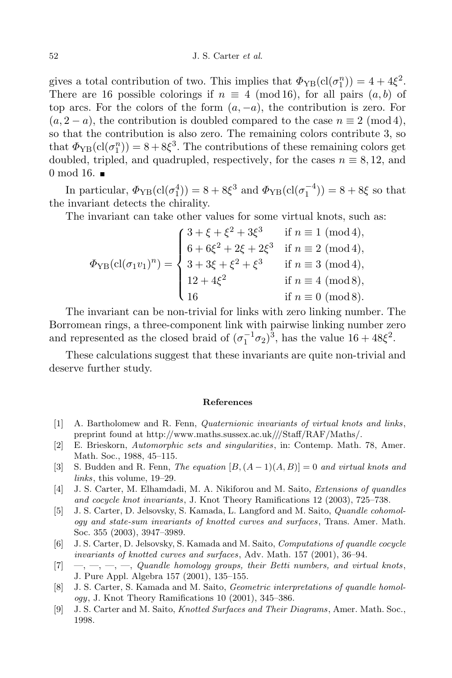gives a total contribution of two. This implies that  $\Phi_{\text{YB}}(\text{cl}(\sigma_{1}^{n})) = 4 + 4\xi^{2}$ . There are 16 possible colorings if  $n \equiv 4 \pmod{16}$ , for all pairs  $(a, b)$  of top arcs. For the colors of the form (*a, −a*), the contribution is zero. For  $(a, 2 - a)$ , the contribution is doubled compared to the case  $n \equiv 2 \pmod{4}$ . so that the contribution is also zero. The remaining colors contribute 3, so that  $\Phi_{\text{YB}}(\text{cl}(\sigma_1^n)) = 8 + 8\xi^3$ . The contributions of these remaining colors get doubled, tripled, and quadrupled, respectively, for the cases  $n \equiv 8, 12,$  and 0 mod 16.  $\blacksquare$ 

In particular,  $\Phi_{\text{YB}}(\text{cl}(\sigma_1^4)) = 8 + 8\xi^3$  and  $\Phi_{\text{YB}}(\text{cl}(\sigma_1^{-4})) = 8 + 8\xi$  so that the invariant detects the chirality.

The invariant can take other values for some virtual knots, such as:

$$
\Phi_{\text{YB}}(\text{cl}(\sigma_1 v_1)^n) = \begin{cases}\n3 + \xi + \xi^2 + 3\xi^3 & \text{if } n \equiv 1 \pmod{4}, \\
6 + 6\xi^2 + 2\xi + 2\xi^3 & \text{if } n \equiv 2 \pmod{4}, \\
3 + 3\xi + \xi^2 + \xi^3 & \text{if } n \equiv 3 \pmod{4}, \\
12 + 4\xi^2 & \text{if } n \equiv 4 \pmod{8}, \\
16 & \text{if } n \equiv 0 \pmod{8}.\n\end{cases}
$$

The invariant can be non-trivial for links with zero linking number. The Borromean rings, a three-component link with pairwise linking number zero and represented as the closed braid of  $(\sigma_1^{-1}\sigma_2)^3$ , has the value  $16 + 48\xi^2$ .

These calculations suggest that these invariants are quite non-trivial and deserve further study.

#### **References**

- [1] A. Bartholomew and R. Fenn, *Quaternionic invariants of virtual knots and links*, preprint found at http://www.maths.sussex.ac.uk///Staff/RAF/Maths/.
- [2] E. Brieskorn, *Automorphic sets and singularities*, in: Contemp. Math. 78, Amer. Math. Soc., 1988, 45–115.
- $[3]$  S. Budden and R. Fenn, *The equation*  $[B, (A-1)(A, B)] = 0$  *and virtual knots and links*, this volume, 19–29.
- [4] J. S. Carter, M. Elhamdadi, M. A. Nikiforou and M. Saito, *Extensions of quandles and cocycle knot invariants*, J. Knot Theory Ramifications 12 (2003), 725–738.
- [5] J. S. Carter, D. Jelsovsky, S. Kamada, L. Langford and M. Saito, *Quandle cohomology and state-sum invariants of knotted curves and surfaces*, Trans. Amer. Math. Soc. 355 (2003), 3947–3989.
- [6] J. S. Carter, D. Jelsovsky, S. Kamada and M. Saito, *Computations of quandle cocycle invariants of knotted curves and surfaces*, Adv. Math. 157 (2001), 36–94.
- [7] —, —, —, —, *Quandle homology groups, their Betti numbers, and virtual knots*, J. Pure Appl. Algebra 157 (2001), 135–155.
- [8] J. S. Carter, S. Kamada and M. Saito, *Geometric interpretations of quandle homology*, J. Knot Theory Ramifications 10 (2001), 345–386.
- [9] J. S. Carter and M. Saito, *Knotted Surfaces and Their Diagrams*, Amer. Math. Soc., 1998.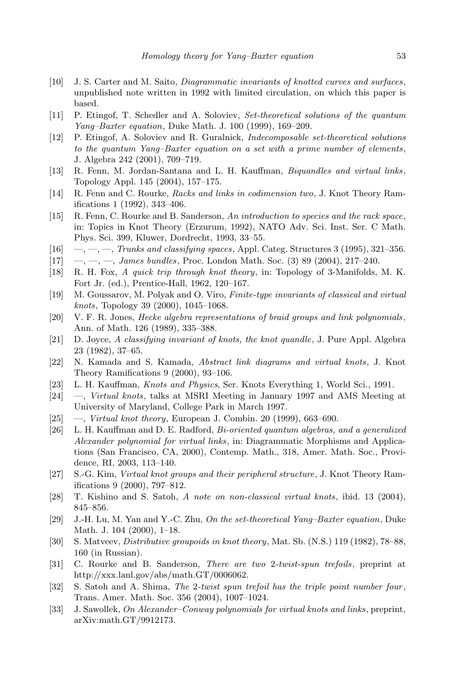- [10] J. S. Carter and M. Saito, *Diagrammatic invariants of knotted curves and surfaces*, unpublished note written in 1992 with limited circulation, on which this paper is based.
- [11] P. Etingof, T. Schedler and A. Soloviev, *Set-theoretical solutions of the quantum Yang–Baxter equation*, Duke Math. J. 100 (1999), 169–209.
- [12] P. Etingof, A. Soloviev and R. Guralnick, *Indecomposable set-theoretical solutions to the quantum Yang–Baxter equation on a set with a prime number of elements*, J. Algebra 242 (2001), 709–719.
- [13] R. Fenn, M. Jordan-Santana and L. H. Kauffman, *Biquandles and virtual links*, Topology Appl. 145 (2004), 157–175.
- [14] R. Fenn and C. Rourke, *Racks and links in codimension two*, J. Knot Theory Ramifications 1 (1992), 343–406.
- [15] R. Fenn, C. Rourke and B. Sanderson, *An introduction to species and the rack space*, in: Topics in Knot Theory (Erzurum, 1992), NATO Adv. Sci. Inst. Ser. C Math. Phys. Sci. 399, Kluwer, Dordrecht, 1993, 33–55.
- [16] —, —, —, *Trunks and classifying spaces*, Appl. Categ. Structures 3 (1995), 321–356.
- [17] —, —, —, *James bundles*, Proc. London Math. Soc. (3) 89 (2004), 217–240.
- [18] R. H. Fox, *A quick trip through knot theory*, in: Topology of 3-Manifolds, M. K. Fort Jr. (ed.), Prentice-Hall, 1962, 120–167.
- [19] M. Goussarov, M. Polyak and O. Viro, *Finite-type invariants of classical and virtual knots*, Topology 39 (2000), 1045–1068.
- [20] V. F. R. Jones, *Hecke algebra representations of braid groups and link polynomials*, Ann. of Math. 126 (1989), 335–388.
- [21] D. Joyce, *A classifying invariant of knots, the knot quandle*, J. Pure Appl. Algebra 23 (1982), 37–65.
- [22] N. Kamada and S. Kamada, *Abstract link diagrams and virtual knots*, J. Knot Theory Ramifications 9 (2000), 93–106.
- [23] L. H. Kauffman, *Knots and Physics*, Ser. Knots Everything 1, World Sci., 1991.
- [24] —, *Virtual knots*, talks at MSRI Meeting in January 1997 and AMS Meeting at University of Maryland, College Park in March 1997.
- [25] —, *Virtual knot theory*, European J. Combin. 20 (1999), 663–690.
- [26] L. H. Kauffman and D. E. Radford, *Bi-oriented quantum algebras, and a generalized Alexander polynomial for virtual links*, in: Diagrammatic Morphisms and Applications (San Francisco, CA, 2000), Contemp. Math., 318, Amer. Math. Soc., Providence, RI, 2003, 113–140.
- [27] S.-G. Kim, *Virtual knot groups and their peripheral structure*, J. Knot Theory Ramifications 9 (2000), 797–812.
- [28] T. Kishino and S. Satoh, *A note on non-classical virtual knots*, ibid. 13 (2004), 845–856.
- [29] J.-H. Lu, M. Yan and Y.-C. Zhu, *On the set-theoretical Yang–Baxter equation*, Duke Math. J. 104 (2000), 1–18.
- [30] S. Matveev, *Distributive groupoids in knot theory*, Mat. Sb. (N.S.) 119 (1982), 78–88, 160 (in Russian).
- [31] C. Rourke and B. Sanderson, *There are two* 2*-twist-spun trefoils*, preprint at http://xxx.lanl.gov/abs/math.GT/0006062.
- [32] S. Satoh and A. Shima, *The* 2*-twist spun trefoil has the triple point number four*, Trans. Amer. Math. Soc. 356 (2004), 1007–1024.
- [33] J. Sawollek, *On Alexander–Conway polynomials for virtual knots and links*, preprint, arXiv:math.GT/9912173.